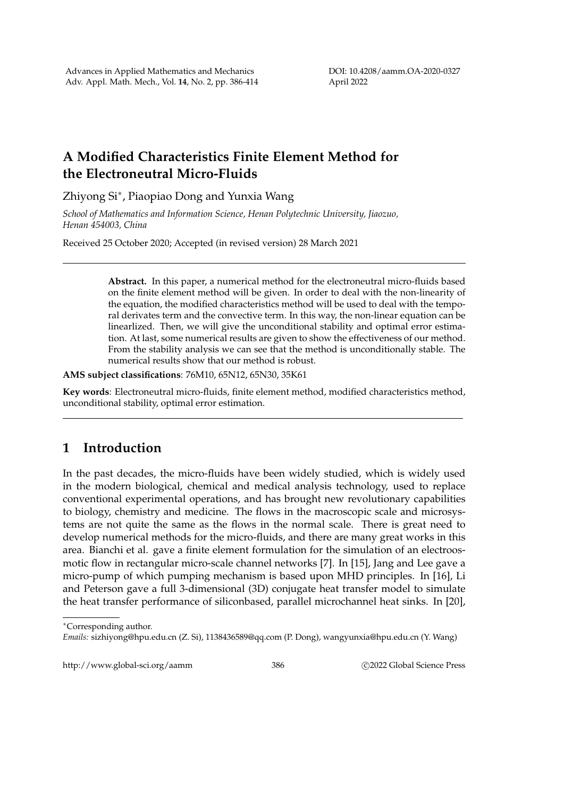## **A Modified Characteristics Finite Element Method for the Electroneutral Micro-Fluids**

Zhiyong Si<sup>∗</sup> , Piaopiao Dong and Yunxia Wang

*School of Mathematics and Information Science, Henan Polytechnic University, Jiaozuo, Henan 454003, China*

Received 25 October 2020; Accepted (in revised version) 28 March 2021

**Abstract.** In this paper, a numerical method for the electroneutral micro-fluids based on the finite element method will be given. In order to deal with the non-linearity of the equation, the modified characteristics method will be used to deal with the temporal derivates term and the convective term. In this way, the non-linear equation can be linearlized. Then, we will give the unconditional stability and optimal error estimation. At last, some numerical results are given to show the effectiveness of our method. From the stability analysis we can see that the method is unconditionally stable. The numerical results show that our method is robust.

**AMS subject classifications**: 76M10, 65N12, 65N30, 35K61

**Key words**: Electroneutral micro-fluids, finite element method, modified characteristics method, unconditional stability, optimal error estimation.

## **1 Introduction**

In the past decades, the micro-fluids have been widely studied, which is widely used in the modern biological, chemical and medical analysis technology, used to replace conventional experimental operations, and has brought new revolutionary capabilities to biology, chemistry and medicine. The flows in the macroscopic scale and microsystems are not quite the same as the flows in the normal scale. There is great need to develop numerical methods for the micro-fluids, and there are many great works in this area. Bianchi et al. gave a finite element formulation for the simulation of an electroosmotic flow in rectangular micro-scale channel networks [7]. In [15], Jang and Lee gave a micro-pump of which pumping mechanism is based upon MHD principles. In [16], Li and Peterson gave a full 3-dimensional (3D) conjugate heat transfer model to simulate the heat transfer performance of siliconbased, parallel microchannel heat sinks. In [20],

http://www.global-sci.org/aamm 386 c 2022 Global Science Press

<sup>∗</sup>Corresponding author.

*Emails:* sizhiyong@hpu.edu.cn (Z. Si), 1138436589@qq.com (P. Dong), wangyunxia@hpu.edu.cn (Y. Wang)